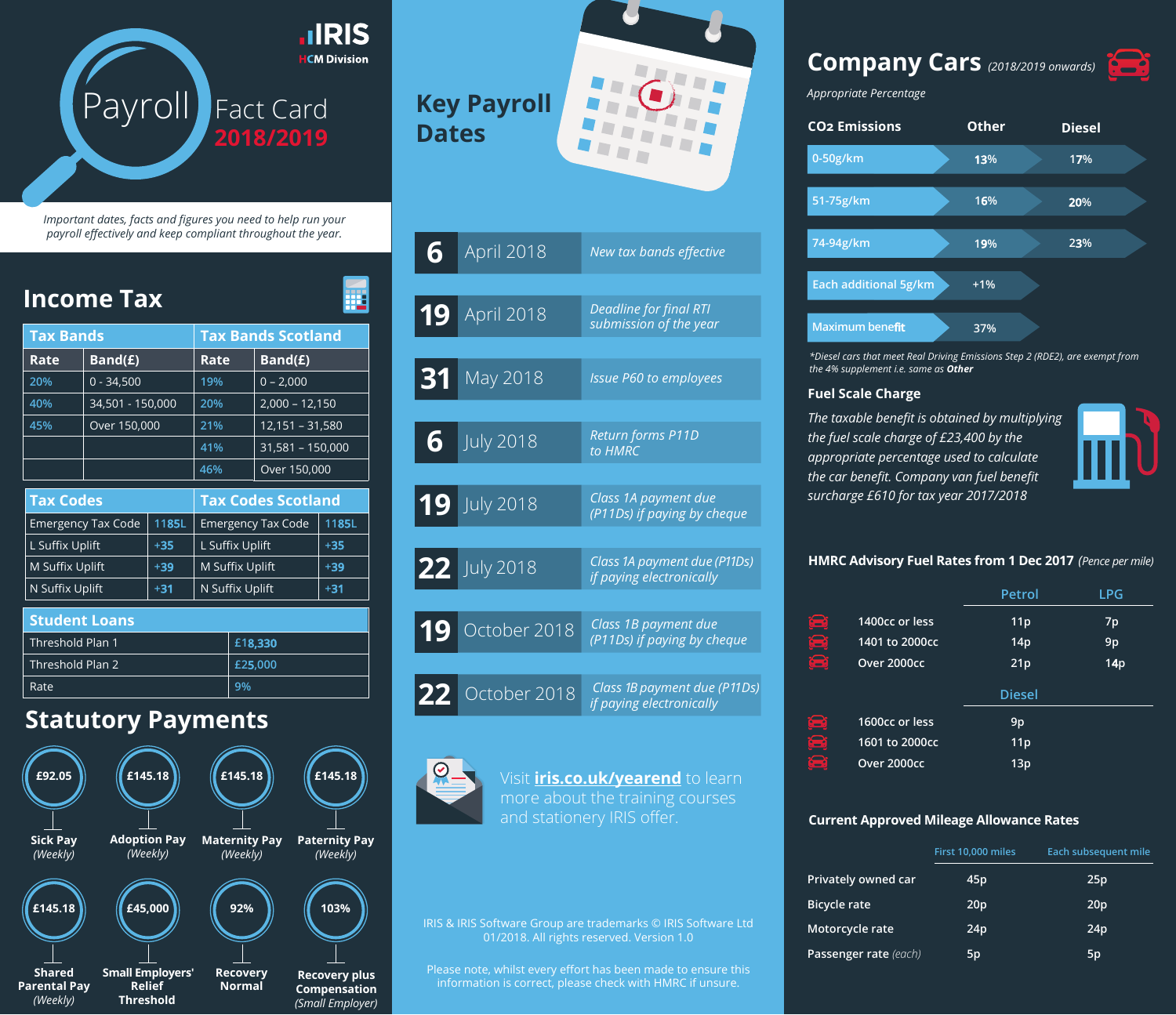

*Important dates, facts and figures you need to help run your payroll effectively and keep compliant throughout the year.*

| <b>Income Tax</b>                                           |                           |                                            |                                             |                           | ₩                                            |  |
|-------------------------------------------------------------|---------------------------|--------------------------------------------|---------------------------------------------|---------------------------|----------------------------------------------|--|
| Tax Bands                                                   |                           |                                            | <b>Tax Bands Scotland</b>                   |                           |                                              |  |
| Rate                                                        | Band(E)                   |                                            | Rate                                        | Band(E)                   |                                              |  |
| 20%                                                         | $0 - 34,500$              |                                            | 19%                                         | $0 - 2,000$               |                                              |  |
| 40%                                                         | 34,501 - 150,000          |                                            | 20%                                         | $2,000 - 12,150$          |                                              |  |
| 45%                                                         | Over 150,000              |                                            | 21%                                         | $12,151 - 31,580$         |                                              |  |
|                                                             |                           |                                            | 41%                                         | 31,581 - 150,000          |                                              |  |
|                                                             |                           |                                            | 46%                                         | Over 150,000              |                                              |  |
| Tax Codes                                                   |                           |                                            |                                             | <b>Tax Codes Scotland</b> |                                              |  |
| <b>Emergency Tax Code</b>                                   |                           | 1185L                                      |                                             | <b>Emergency Tax Code</b> | 1185L                                        |  |
| L Suffix Uplift                                             |                           | $+35$                                      | L Suffix Uplift                             |                           | $+35$                                        |  |
| M Suffix Uplift                                             |                           | $+39$                                      | M Suffix Uplift                             |                           | $+39$                                        |  |
| N Suffix Uplift                                             |                           | $+31$                                      | N Suffix Uplift                             |                           | $+31$                                        |  |
| Threshold Plan 1<br>Threshold Plan 2<br>Rate                |                           |                                            | £18,330<br>£25,000<br>9%                    |                           |                                              |  |
| £92.05<br><b>Sick Pay</b><br>(Weekly)                       | <b>Statutory Payments</b> | £145.18<br><b>Adoption Pay</b><br>(Weekly) | £145.18<br><b>Maternity Pay</b><br>(Weekly) |                           | £145.18<br><b>Paternity Pay</b><br>(Weekly)  |  |
| E145.18<br><b>Shared</b><br><b>Parental Pay</b><br>(Weekly) | £45,000                   | <b>Small Employers'</b><br><b>Relief</b>   | 92%<br><b>Recovery</b><br>Normal            |                           | 103%<br><b>Recovery plus</b><br>Compensation |  |

# **Key Payroll Dates**

| 6  | April 2018       | New tax bands effective                                  |
|----|------------------|----------------------------------------------------------|
|    |                  |                                                          |
| 19 | April 2018       | <b>Deadline for final RTI</b><br>submission of the year  |
|    |                  |                                                          |
| 31 | May 2018         | <b>Issue P60 to employees</b>                            |
|    |                  |                                                          |
| 6  | <b>July 2018</b> | <b>Return forms P11D</b><br>to HMRC                      |
|    |                  |                                                          |
|    | 19 July 2018     | Class 1A payment due<br>(P11Ds) if paying by cheque      |
|    |                  |                                                          |
|    | 22 July 2018     | Class 1A payment due (P11Ds)<br>if paying electronically |
|    |                  |                                                          |
| 19 | October 2018     | Class 1B payment due<br>(P11Ds) if paying by cheque      |
|    |                  |                                                          |
| 22 | October 2018     | Class 1B payment due (P11Ds)<br>if paying electronically |

Visit **[iris.co.uk/yearend](http://www.iris.co.uk/insight/payroll-year-end-2016/)** to learn and stationery IRIS offer.

01/2018. All rights reserved. Version 1.0

Please note, whilst every effort has been made to ensure this information is correct, please check with HMRC if unsure.

## **Company Cars** *(2018/2019 onwards)*

*Appropriate Percentage*



*\*Diesel cars that meet Real Driving Emissions Step 2 (RDE2), are exempt from the 4% supplement i.e. same as Other*

#### **Fuel Scale Charge**

*The taxable benefit is obtained by multiplying the fuel scale charge of £23,400 by the appropriate percentage used to calculate the car benefit. Company van fuel benefit surcharge £610 for tax year 2017/2018*



### **HMRC Advisory Fuel Rates from 1 Dec 2017** *(Pence per mile)*

|          |                | Petrol          | LPG |
|----------|----------------|-----------------|-----|
| <u>e</u> | 1400cc or less | 11 <sub>p</sub> | 7p  |
| <u>a</u> | 1401 to 2000cc | 14p             | 9p  |
| 8        | Over 2000cc    | 21p             | 14p |
|          |                | <b>Diesel</b>   |     |
| <u>a</u> | 1600cc or less | 9p              |     |
| 9        | 1601 to 2000cc | 11 <sub>p</sub> |     |
| S        | Over 2000cc    | 13p             |     |
|          |                |                 |     |

#### **Current Approved Mileage Allowance Rates**

|                       | First 10,000 miles | Each subsequent mile |
|-----------------------|--------------------|----------------------|
| Privately owned car   | 45p                | 25p                  |
| <b>Bicycle rate</b>   | 20p                | 20 <sub>p</sub>      |
| Motorcycle rate       | 24p                | 24p                  |
| Passenger rate (each) | 5p                 | 5p                   |